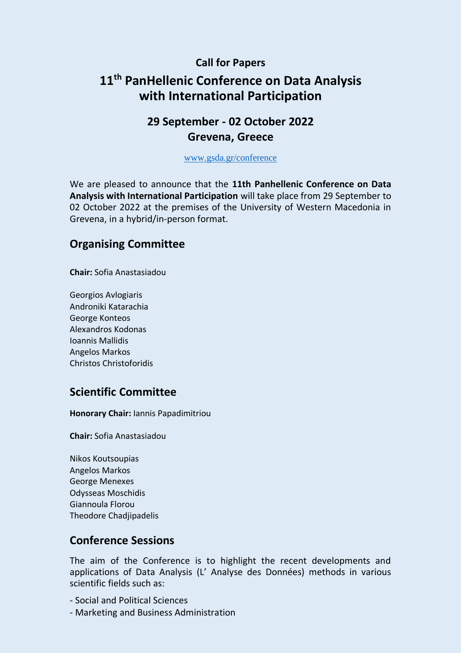#### **Call for Papers**

# **11 th PanHellenic Conference on Data Analysis with International Participation**

## **29 September - 02 October 2022 Grevena, Greece**

[www.gsda.gr/conference](http://www.gsda.gr/conference)

We are pleased to announce that the **11th Panhellenic Conference on Data Analysis with International Participation** will take place from 29 September to 02 October 2022 at the premises of the University of Western Macedonia in Grevena, in a hybrid/in-person format.

### **Organising Committee**

**Chair:** Sofia Anastasiadou

Georgios Avlogiaris Androniki Katarachia George Konteos Alexandros Kodonas Ioannis Mallidis Angelos Markos Christos Christoforidis

### **Scientific Committee**

**Honorary Chair:** Iannis Papadimitriou

**Chair:** Sofia Anastasiadou

Nikos Koutsoupias Angelos Markos George Menexes Odysseas Moschidis Giannoula Florou Theodore Chadjipadelis

### **Conference Sessions**

The aim of the Conference is to highlight the recent developments and applications of Data Analysis (L' Analyse des Données) methods in various scientific fields such as:

- Social and Political Sciences
- Marketing and Business Administration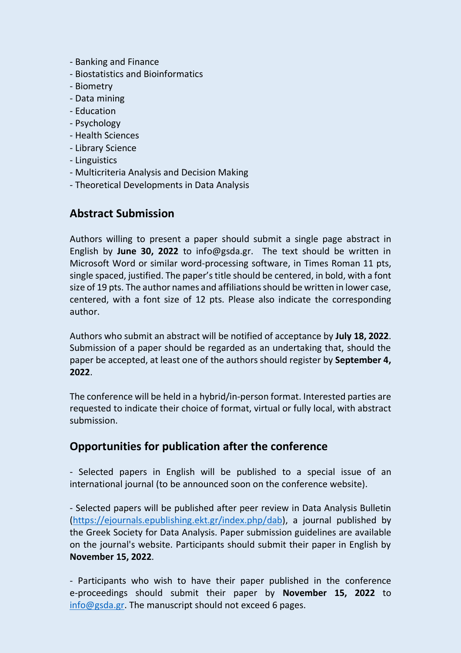- Banking and Finance
- Biostatistics and Bioinformatics
- Biometry
- Data mining
- Education
- Psychology
- Health Sciences
- Library Science
- Linguistics
- Multicriteria Analysis and Decision Making
- Theoretical Developments in Data Analysis

## **Abstract Submission**

Authors willing to present a paper should submit a single page abstract in English by **June 30, 2022** to info@gsda.gr. The text should be written in Microsoft Word or similar word-processing software, in Times Roman 11 pts, single spaced, justified. The paper's title should be centered, in bold, with a font size of 19 pts. The author names and affiliationsshould be written in lower case, centered, with a font size of 12 pts. Please also indicate the corresponding author.

Authors who submit an abstract will be notified of acceptance by **July 18, 2022**. Submission of a paper should be regarded as an undertaking that, should the paper be accepted, at least one of the authors should register by **September 4, 2022**.

The conference will be held in a hybrid/in-person format. Interested parties are requested to indicate their choice of format, virtual or fully local, with abstract submission.

### **Opportunities for publication after the conference**

- Selected papers in English will be published to a special issue of an international journal (to be announced soon on the conference website).

- Selected papers will be published after peer review in Data Analysis Bulletin [\(https://ejournals.epublishing.ekt.gr/index.php/dab\)](https://ejournals.epublishing.ekt.gr/index.php/dab), a journal published by the Greek Society for Data Analysis. Paper submission guidelines are available on the journal's website. Participants should submit their paper in English by **November 15, 2022**.

- Participants who wish to have their paper published in the conference e-proceedings should submit their paper by **November 15, 2022** to [info@gsda.gr.](mailto:info@gsda.gr) The manuscript should not exceed 6 pages.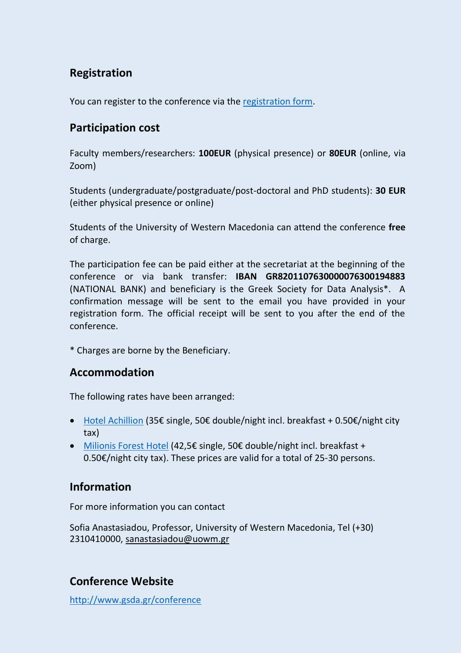# **Registration**

You can register to the conference via the [registration form.](https://forms.gle/kTyUKkU13GQryfTKA)

## **Participation cost**

Faculty members/researchers: **100EUR** (physical presence) or **80EUR** (online, via Zoom)

Students (undergraduate/postgraduate/post-doctoral and PhD students): **30 EUR** (either physical presence or online)

Students of the University of Western Macedonia can attend the conference **free**  of charge.

The participation fee can be paid either at the secretariat at the beginning of the conference or via bank transfer: **IBAN GR8201107630000076300194883** (NATIONAL BANK) and beneficiary is the Greek Society for Data Analysis\*. A confirmation message will be sent to the email you have provided in your registration form. The official receipt will be sent to you after the end of the conference.

\* Charges are borne by the Beneficiary.

### **Accommodation**

The following rates have been arranged:

- [Hotel Αchillion](https://hotelachillion.gr/) (35€ single, 50€ double/night incl. breakfast + 0.50€/night city tax)
- [Milionis Forest Hotel](https://milionishotel.gr/index.php?lang=gr) (42,5€ single, 50€ double/night incl. breakfast + 0.50€/night city tax). These prices are valid for a total of 25-30 persons.

### **Information**

For more information you can contact

Sofia Anastasiadou, Professor, University of Western Macedonia, Tel (+30) 2310410000, [sanastasiadou@uowm.gr](mailto:sanastasiadou@uowm.gr)

# **Conference Website**

<http://www.gsda.gr/conference>